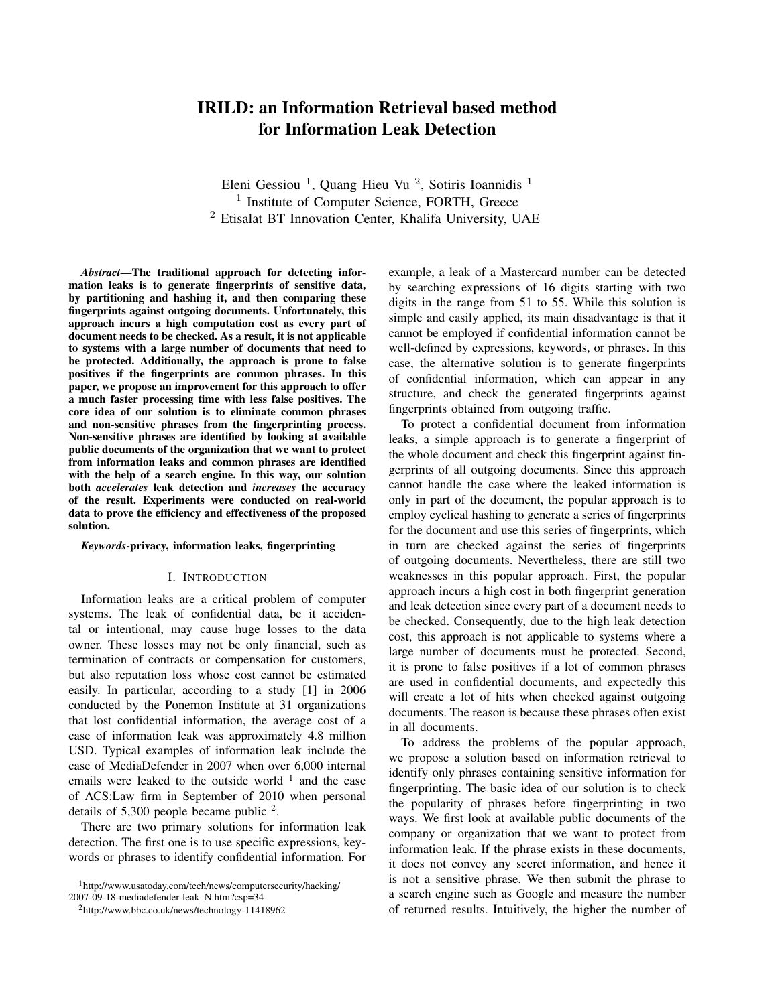# IRILD: an Information Retrieval based method for Information Leak Detection

Eleni Gessiou<sup>1</sup>, Quang Hieu Vu<sup>2</sup>, Sotiris Ioannidis<sup>1</sup> <sup>1</sup> Institute of Computer Science, FORTH, Greece <sup>2</sup> Etisalat BT Innovation Center, Khalifa University, UAE

*Abstract*—The traditional approach for detecting information leaks is to generate fingerprints of sensitive data, by partitioning and hashing it, and then comparing these fingerprints against outgoing documents. Unfortunately, this approach incurs a high computation cost as every part of document needs to be checked. As a result, it is not applicable to systems with a large number of documents that need to be protected. Additionally, the approach is prone to false positives if the fingerprints are common phrases. In this paper, we propose an improvement for this approach to offer a much faster processing time with less false positives. The core idea of our solution is to eliminate common phrases and non-sensitive phrases from the fingerprinting process. Non-sensitive phrases are identified by looking at available public documents of the organization that we want to protect from information leaks and common phrases are identified with the help of a search engine. In this way, our solution both *accelerates* leak detection and *increases* the accuracy of the result. Experiments were conducted on real-world data to prove the efficiency and effectiveness of the proposed solution.

# *Keywords*-privacy, information leaks, fingerprinting

## I. INTRODUCTION

Information leaks are a critical problem of computer systems. The leak of confidential data, be it accidental or intentional, may cause huge losses to the data owner. These losses may not be only financial, such as termination of contracts or compensation for customers, but also reputation loss whose cost cannot be estimated easily. In particular, according to a study [1] in 2006 conducted by the Ponemon Institute at 31 organizations that lost confidential information, the average cost of a case of information leak was approximately 4.8 million USD. Typical examples of information leak include the case of MediaDefender in 2007 when over 6,000 internal emails were leaked to the outside world  $1$  and the case of ACS:Law firm in September of 2010 when personal details of 5,300 people became public  $2$ .

There are two primary solutions for information leak detection. The first one is to use specific expressions, keywords or phrases to identify confidential information. For example, a leak of a Mastercard number can be detected by searching expressions of 16 digits starting with two digits in the range from 51 to 55. While this solution is simple and easily applied, its main disadvantage is that it cannot be employed if confidential information cannot be well-defined by expressions, keywords, or phrases. In this case, the alternative solution is to generate fingerprints of confidential information, which can appear in any structure, and check the generated fingerprints against fingerprints obtained from outgoing traffic.

To protect a confidential document from information leaks, a simple approach is to generate a fingerprint of the whole document and check this fingerprint against fingerprints of all outgoing documents. Since this approach cannot handle the case where the leaked information is only in part of the document, the popular approach is to employ cyclical hashing to generate a series of fingerprints for the document and use this series of fingerprints, which in turn are checked against the series of fingerprints of outgoing documents. Nevertheless, there are still two weaknesses in this popular approach. First, the popular approach incurs a high cost in both fingerprint generation and leak detection since every part of a document needs to be checked. Consequently, due to the high leak detection cost, this approach is not applicable to systems where a large number of documents must be protected. Second, it is prone to false positives if a lot of common phrases are used in confidential documents, and expectedly this will create a lot of hits when checked against outgoing documents. The reason is because these phrases often exist in all documents.

To address the problems of the popular approach, we propose a solution based on information retrieval to identify only phrases containing sensitive information for fingerprinting. The basic idea of our solution is to check the popularity of phrases before fingerprinting in two ways. We first look at available public documents of the company or organization that we want to protect from information leak. If the phrase exists in these documents, it does not convey any secret information, and hence it is not a sensitive phrase. We then submit the phrase to a search engine such as Google and measure the number of returned results. Intuitively, the higher the number of

<sup>1</sup>http://www.usatoday.com/tech/news/computersecurity/hacking/

<sup>2007-09-18-</sup>mediadefender-leak N.htm?csp=34

<sup>2</sup>http://www.bbc.co.uk/news/technology-11418962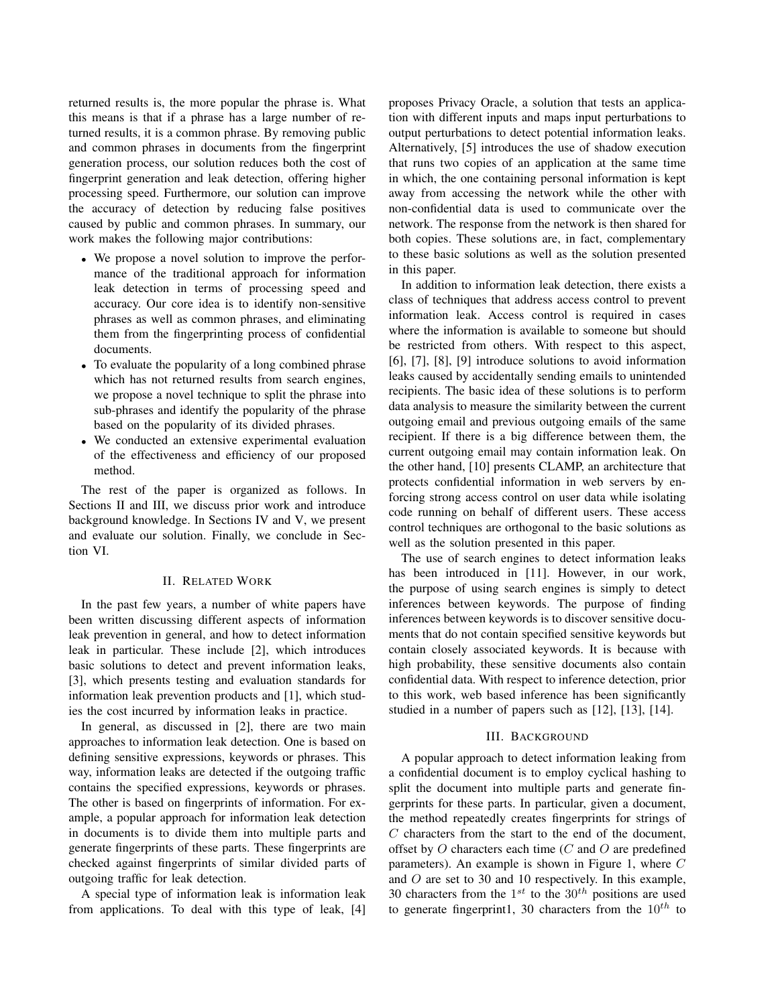returned results is, the more popular the phrase is. What this means is that if a phrase has a large number of returned results, it is a common phrase. By removing public and common phrases in documents from the fingerprint generation process, our solution reduces both the cost of fingerprint generation and leak detection, offering higher processing speed. Furthermore, our solution can improve the accuracy of detection by reducing false positives caused by public and common phrases. In summary, our work makes the following major contributions:

- We propose a novel solution to improve the performance of the traditional approach for information leak detection in terms of processing speed and accuracy. Our core idea is to identify non-sensitive phrases as well as common phrases, and eliminating them from the fingerprinting process of confidential documents.
- To evaluate the popularity of a long combined phrase which has not returned results from search engines, we propose a novel technique to split the phrase into sub-phrases and identify the popularity of the phrase based on the popularity of its divided phrases.
- We conducted an extensive experimental evaluation of the effectiveness and efficiency of our proposed method.

The rest of the paper is organized as follows. In Sections II and III, we discuss prior work and introduce background knowledge. In Sections IV and V, we present and evaluate our solution. Finally, we conclude in Section VI.

# II. RELATED WORK

In the past few years, a number of white papers have been written discussing different aspects of information leak prevention in general, and how to detect information leak in particular. These include [2], which introduces basic solutions to detect and prevent information leaks, [3], which presents testing and evaluation standards for information leak prevention products and [1], which studies the cost incurred by information leaks in practice.

In general, as discussed in [2], there are two main approaches to information leak detection. One is based on defining sensitive expressions, keywords or phrases. This way, information leaks are detected if the outgoing traffic contains the specified expressions, keywords or phrases. The other is based on fingerprints of information. For example, a popular approach for information leak detection in documents is to divide them into multiple parts and generate fingerprints of these parts. These fingerprints are checked against fingerprints of similar divided parts of outgoing traffic for leak detection.

A special type of information leak is information leak from applications. To deal with this type of leak, [4]

proposes Privacy Oracle, a solution that tests an application with different inputs and maps input perturbations to output perturbations to detect potential information leaks. Alternatively, [5] introduces the use of shadow execution that runs two copies of an application at the same time in which, the one containing personal information is kept away from accessing the network while the other with non-confidential data is used to communicate over the network. The response from the network is then shared for both copies. These solutions are, in fact, complementary to these basic solutions as well as the solution presented in this paper.

In addition to information leak detection, there exists a class of techniques that address access control to prevent information leak. Access control is required in cases where the information is available to someone but should be restricted from others. With respect to this aspect, [6], [7], [8], [9] introduce solutions to avoid information leaks caused by accidentally sending emails to unintended recipients. The basic idea of these solutions is to perform data analysis to measure the similarity between the current outgoing email and previous outgoing emails of the same recipient. If there is a big difference between them, the current outgoing email may contain information leak. On the other hand, [10] presents CLAMP, an architecture that protects confidential information in web servers by enforcing strong access control on user data while isolating code running on behalf of different users. These access control techniques are orthogonal to the basic solutions as well as the solution presented in this paper.

The use of search engines to detect information leaks has been introduced in [11]. However, in our work, the purpose of using search engines is simply to detect inferences between keywords. The purpose of finding inferences between keywords is to discover sensitive documents that do not contain specified sensitive keywords but contain closely associated keywords. It is because with high probability, these sensitive documents also contain confidential data. With respect to inference detection, prior to this work, web based inference has been significantly studied in a number of papers such as [12], [13], [14].

### III. BACKGROUND

A popular approach to detect information leaking from a confidential document is to employ cyclical hashing to split the document into multiple parts and generate fingerprints for these parts. In particular, given a document, the method repeatedly creates fingerprints for strings of  $C$  characters from the start to the end of the document, offset by  $O$  characters each time  $(C$  and  $O$  are predefined parameters). An example is shown in Figure 1, where  $C$ and O are set to 30 and 10 respectively. In this example, 30 characters from the  $1^{st}$  to the  $30^{th}$  positions are used to generate fingerprint1, 30 characters from the  $10^{th}$  to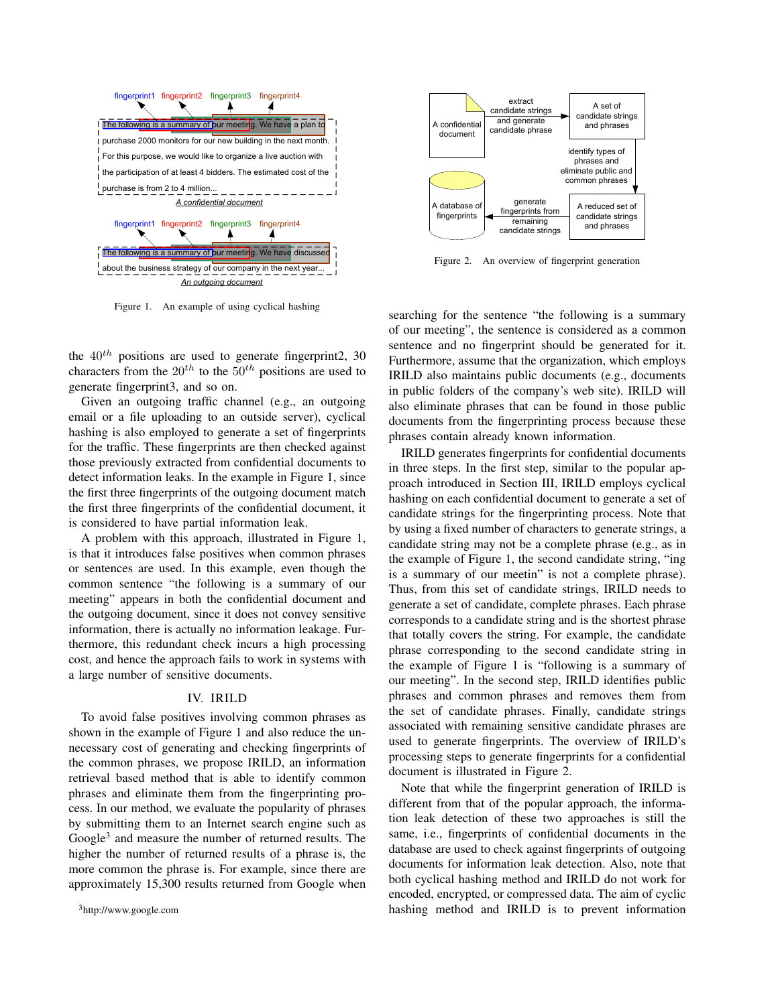

Figure 1. An example of using cyclical hashing

the  $40^{th}$  positions are used to generate fingerprint2, 30 characters from the  $20^{th}$  to the  $50^{th}$  positions are used to generate fingerprint3, and so on.

Given an outgoing traffic channel (e.g., an outgoing email or a file uploading to an outside server), cyclical hashing is also employed to generate a set of fingerprints for the traffic. These fingerprints are then checked against those previously extracted from confidential documents to detect information leaks. In the example in Figure 1, since the first three fingerprints of the outgoing document match the first three fingerprints of the confidential document, it is considered to have partial information leak.

A problem with this approach, illustrated in Figure 1, is that it introduces false positives when common phrases or sentences are used. In this example, even though the common sentence "the following is a summary of our meeting" appears in both the confidential document and the outgoing document, since it does not convey sensitive information, there is actually no information leakage. Furthermore, this redundant check incurs a high processing cost, and hence the approach fails to work in systems with a large number of sensitive documents.

### IV. IRILD

To avoid false positives involving common phrases as shown in the example of Figure 1 and also reduce the unnecessary cost of generating and checking fingerprints of the common phrases, we propose IRILD, an information retrieval based method that is able to identify common phrases and eliminate them from the fingerprinting process. In our method, we evaluate the popularity of phrases by submitting them to an Internet search engine such as Google<sup>3</sup> and measure the number of returned results. The higher the number of returned results of a phrase is, the more common the phrase is. For example, since there are approximately 15,300 results returned from Google when



Figure 2. An overview of fingerprint generation

searching for the sentence "the following is a summary of our meeting", the sentence is considered as a common sentence and no fingerprint should be generated for it. Furthermore, assume that the organization, which employs IRILD also maintains public documents (e.g., documents in public folders of the company's web site). IRILD will also eliminate phrases that can be found in those public documents from the fingerprinting process because these phrases contain already known information.

IRILD generates fingerprints for confidential documents in three steps. In the first step, similar to the popular approach introduced in Section III, IRILD employs cyclical hashing on each confidential document to generate a set of candidate strings for the fingerprinting process. Note that by using a fixed number of characters to generate strings, a candidate string may not be a complete phrase (e.g., as in the example of Figure 1, the second candidate string, "ing is a summary of our meetin" is not a complete phrase). Thus, from this set of candidate strings, IRILD needs to generate a set of candidate, complete phrases. Each phrase corresponds to a candidate string and is the shortest phrase that totally covers the string. For example, the candidate phrase corresponding to the second candidate string in the example of Figure 1 is "following is a summary of our meeting". In the second step, IRILD identifies public phrases and common phrases and removes them from the set of candidate phrases. Finally, candidate strings associated with remaining sensitive candidate phrases are used to generate fingerprints. The overview of IRILD's processing steps to generate fingerprints for a confidential document is illustrated in Figure 2.

Note that while the fingerprint generation of IRILD is different from that of the popular approach, the information leak detection of these two approaches is still the same, i.e., fingerprints of confidential documents in the database are used to check against fingerprints of outgoing documents for information leak detection. Also, note that both cyclical hashing method and IRILD do not work for encoded, encrypted, or compressed data. The aim of cyclic hashing method and IRILD is to prevent information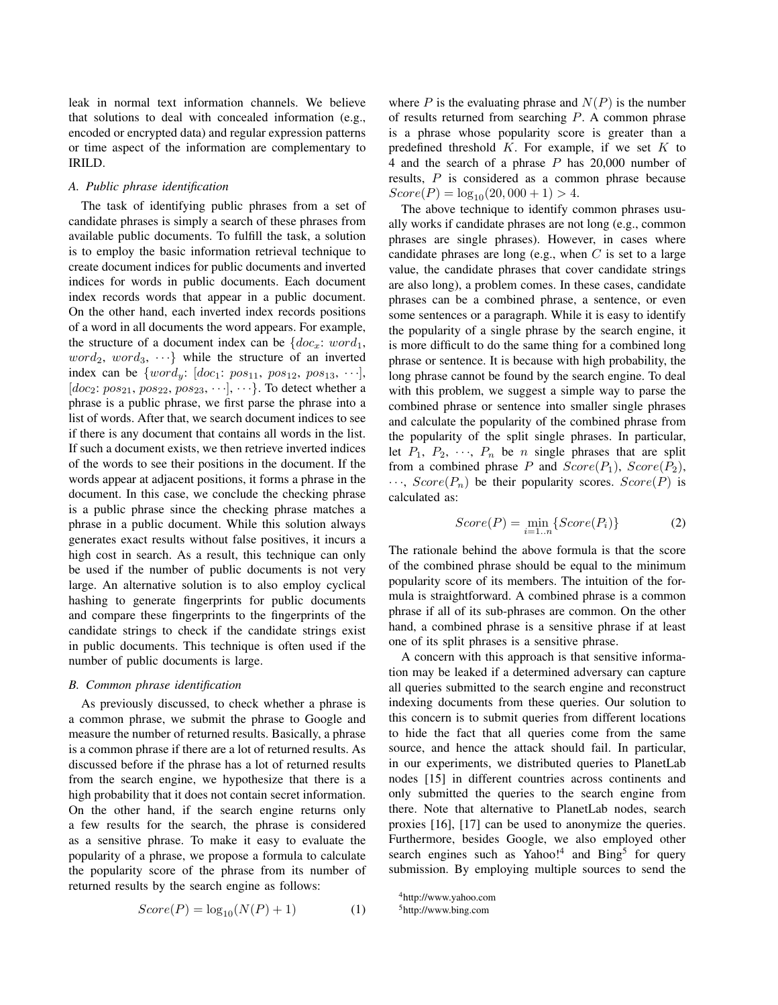leak in normal text information channels. We believe that solutions to deal with concealed information (e.g., encoded or encrypted data) and regular expression patterns or time aspect of the information are complementary to IRILD.

# *A. Public phrase identification*

The task of identifying public phrases from a set of candidate phrases is simply a search of these phrases from available public documents. To fulfill the task, a solution is to employ the basic information retrieval technique to create document indices for public documents and inverted indices for words in public documents. Each document index records words that appear in a public document. On the other hand, each inverted index records positions of a word in all documents the word appears. For example, the structure of a document index can be  $\{doc_x: word_1,$  $word_2$ ,  $word_3$ ,  $\cdots$ } while the structure of an inverted index can be  $\{word_y: [doc_1: pos_{11}, pos_{12}, pos_{13}, \cdots],\}$  $[doc_2: pos_{21}, pos_{22}, pos_{23}, \cdots], \cdots$ }. To detect whether a phrase is a public phrase, we first parse the phrase into a list of words. After that, we search document indices to see if there is any document that contains all words in the list. If such a document exists, we then retrieve inverted indices of the words to see their positions in the document. If the words appear at adjacent positions, it forms a phrase in the document. In this case, we conclude the checking phrase is a public phrase since the checking phrase matches a phrase in a public document. While this solution always generates exact results without false positives, it incurs a high cost in search. As a result, this technique can only be used if the number of public documents is not very large. An alternative solution is to also employ cyclical hashing to generate fingerprints for public documents and compare these fingerprints to the fingerprints of the candidate strings to check if the candidate strings exist in public documents. This technique is often used if the number of public documents is large.

#### *B. Common phrase identification*

As previously discussed, to check whether a phrase is a common phrase, we submit the phrase to Google and measure the number of returned results. Basically, a phrase is a common phrase if there are a lot of returned results. As discussed before if the phrase has a lot of returned results from the search engine, we hypothesize that there is a high probability that it does not contain secret information. On the other hand, if the search engine returns only a few results for the search, the phrase is considered as a sensitive phrase. To make it easy to evaluate the popularity of a phrase, we propose a formula to calculate the popularity score of the phrase from its number of returned results by the search engine as follows:

$$
Score(P) = \log_{10}(N(P) + 1)
$$
 (1)

where  $P$  is the evaluating phrase and  $N(P)$  is the number of results returned from searching  $P$ . A common phrase is a phrase whose popularity score is greater than a predefined threshold  $K$ . For example, if we set  $K$  to 4 and the search of a phrase P has 20,000 number of results,  $P$  is considered as a common phrase because  $Score(P) = log_{10}(20,000 + 1) > 4.$ 

The above technique to identify common phrases usually works if candidate phrases are not long (e.g., common phrases are single phrases). However, in cases where candidate phrases are long (e.g., when  $C$  is set to a large value, the candidate phrases that cover candidate strings are also long), a problem comes. In these cases, candidate phrases can be a combined phrase, a sentence, or even some sentences or a paragraph. While it is easy to identify the popularity of a single phrase by the search engine, it is more difficult to do the same thing for a combined long phrase or sentence. It is because with high probability, the long phrase cannot be found by the search engine. To deal with this problem, we suggest a simple way to parse the combined phrase or sentence into smaller single phrases and calculate the popularity of the combined phrase from the popularity of the split single phrases. In particular, let  $P_1, P_2, \cdots, P_n$  be n single phrases that are split from a combined phrase P and  $Score(P_1)$ ,  $Score(P_2)$ ,  $\cdots$ ,  $Score(P_n)$  be their popularity scores.  $Score(P)$  is calculated as:

$$
Score(P) = \min_{i=1..n} \{Score(P_i)\}
$$
 (2)

The rationale behind the above formula is that the score of the combined phrase should be equal to the minimum popularity score of its members. The intuition of the formula is straightforward. A combined phrase is a common phrase if all of its sub-phrases are common. On the other hand, a combined phrase is a sensitive phrase if at least one of its split phrases is a sensitive phrase.

A concern with this approach is that sensitive information may be leaked if a determined adversary can capture all queries submitted to the search engine and reconstruct indexing documents from these queries. Our solution to this concern is to submit queries from different locations to hide the fact that all queries come from the same source, and hence the attack should fail. In particular, in our experiments, we distributed queries to PlanetLab nodes [15] in different countries across continents and only submitted the queries to the search engine from there. Note that alternative to PlanetLab nodes, search proxies [16], [17] can be used to anonymize the queries. Furthermore, besides Google, we also employed other search engines such as Yahoo!<sup>4</sup> and Bing<sup>5</sup> for query submission. By employing multiple sources to send the

```
4http://www.yahoo.com
```

```
5http://www.bing.com
```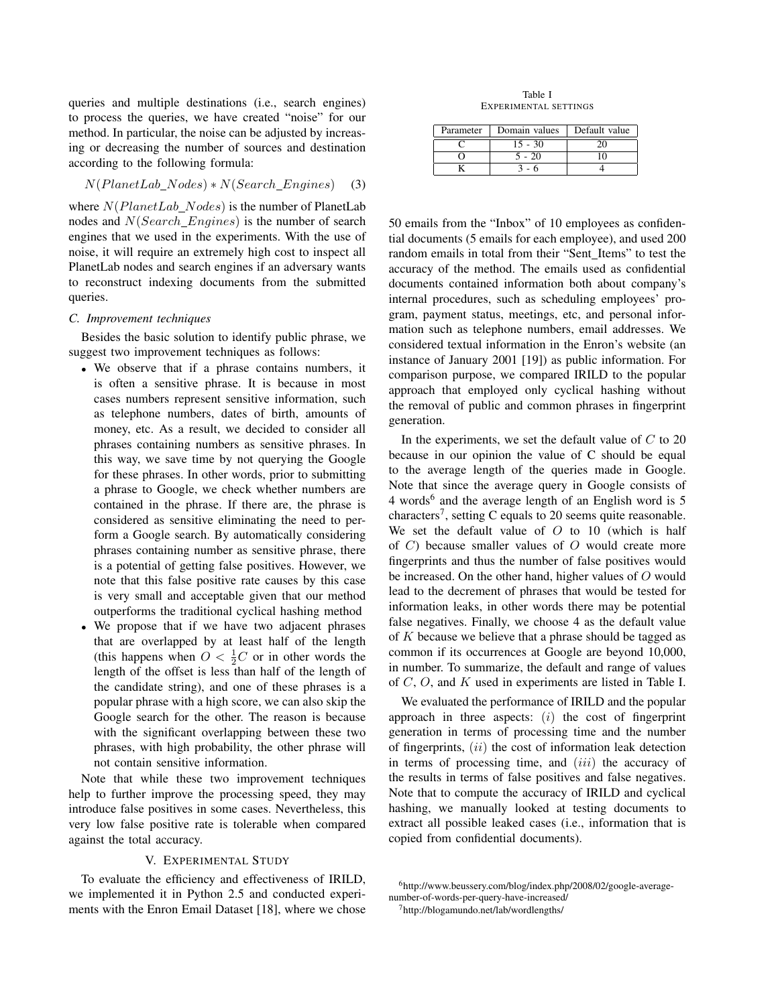queries and multiple destinations (i.e., search engines) to process the queries, we have created "noise" for our method. In particular, the noise can be adjusted by increasing or decreasing the number of sources and destination according to the following formula:

$$
N(Planet Lab\_Nodes) * N(Search\_English(3)
$$

where  $N(PlanetLab\_Nodes)$  is the number of PlanetLab nodes and  $N(Search\_English)$  is the number of search engines that we used in the experiments. With the use of noise, it will require an extremely high cost to inspect all PlanetLab nodes and search engines if an adversary wants to reconstruct indexing documents from the submitted queries.

# *C. Improvement techniques*

Besides the basic solution to identify public phrase, we suggest two improvement techniques as follows:

- We observe that if a phrase contains numbers, it is often a sensitive phrase. It is because in most cases numbers represent sensitive information, such as telephone numbers, dates of birth, amounts of money, etc. As a result, we decided to consider all phrases containing numbers as sensitive phrases. In this way, we save time by not querying the Google for these phrases. In other words, prior to submitting a phrase to Google, we check whether numbers are contained in the phrase. If there are, the phrase is considered as sensitive eliminating the need to perform a Google search. By automatically considering phrases containing number as sensitive phrase, there is a potential of getting false positives. However, we note that this false positive rate causes by this case is very small and acceptable given that our method outperforms the traditional cyclical hashing method
- We propose that if we have two adjacent phrases that are overlapped by at least half of the length (this happens when  $O < \frac{1}{2}C$  or in other words the length of the offset is less than half of the length of the candidate string), and one of these phrases is a popular phrase with a high score, we can also skip the Google search for the other. The reason is because with the significant overlapping between these two phrases, with high probability, the other phrase will not contain sensitive information.

Note that while these two improvement techniques help to further improve the processing speed, they may introduce false positives in some cases. Nevertheless, this very low false positive rate is tolerable when compared against the total accuracy.

### V. EXPERIMENTAL STUDY

To evaluate the efficiency and effectiveness of IRILD, we implemented it in Python 2.5 and conducted experiments with the Enron Email Dataset [18], where we chose

Table I EXPERIMENTAL SETTINGS

| Parameter | Domain values | Default value |
|-----------|---------------|---------------|
|           | 15 - 30       |               |
|           | $-20$         |               |
|           |               |               |

50 emails from the "Inbox" of 10 employees as confidential documents (5 emails for each employee), and used 200 random emails in total from their "Sent Items" to test the accuracy of the method. The emails used as confidential documents contained information both about company's internal procedures, such as scheduling employees' program, payment status, meetings, etc, and personal information such as telephone numbers, email addresses. We considered textual information in the Enron's website (an instance of January 2001 [19]) as public information. For comparison purpose, we compared IRILD to the popular approach that employed only cyclical hashing without the removal of public and common phrases in fingerprint generation.

In the experiments, we set the default value of  $C$  to  $20$ because in our opinion the value of C should be equal to the average length of the queries made in Google. Note that since the average query in Google consists of 4 words<sup>6</sup> and the average length of an English word is 5 characters<sup>7</sup>, setting C equals to 20 seems quite reasonable. We set the default value of  $O$  to  $10$  (which is half of  $C$ ) because smaller values of  $O$  would create more fingerprints and thus the number of false positives would be increased. On the other hand, higher values of  $O$  would lead to the decrement of phrases that would be tested for information leaks, in other words there may be potential false negatives. Finally, we choose 4 as the default value of  $K$  because we believe that a phrase should be tagged as common if its occurrences at Google are beyond 10,000, in number. To summarize, the default and range of values of C, O, and K used in experiments are listed in Table I.

We evaluated the performance of IRILD and the popular approach in three aspects:  $(i)$  the cost of fingerprint generation in terms of processing time and the number of fingerprints,  $(ii)$  the cost of information leak detection in terms of processing time, and  $(iii)$  the accuracy of the results in terms of false positives and false negatives. Note that to compute the accuracy of IRILD and cyclical hashing, we manually looked at testing documents to extract all possible leaked cases (i.e., information that is copied from confidential documents).

<sup>6</sup>http://www.beussery.com/blog/index.php/2008/02/google-averagenumber-of-words-per-query-have-increased/

<sup>7</sup>http://blogamundo.net/lab/wordlengths/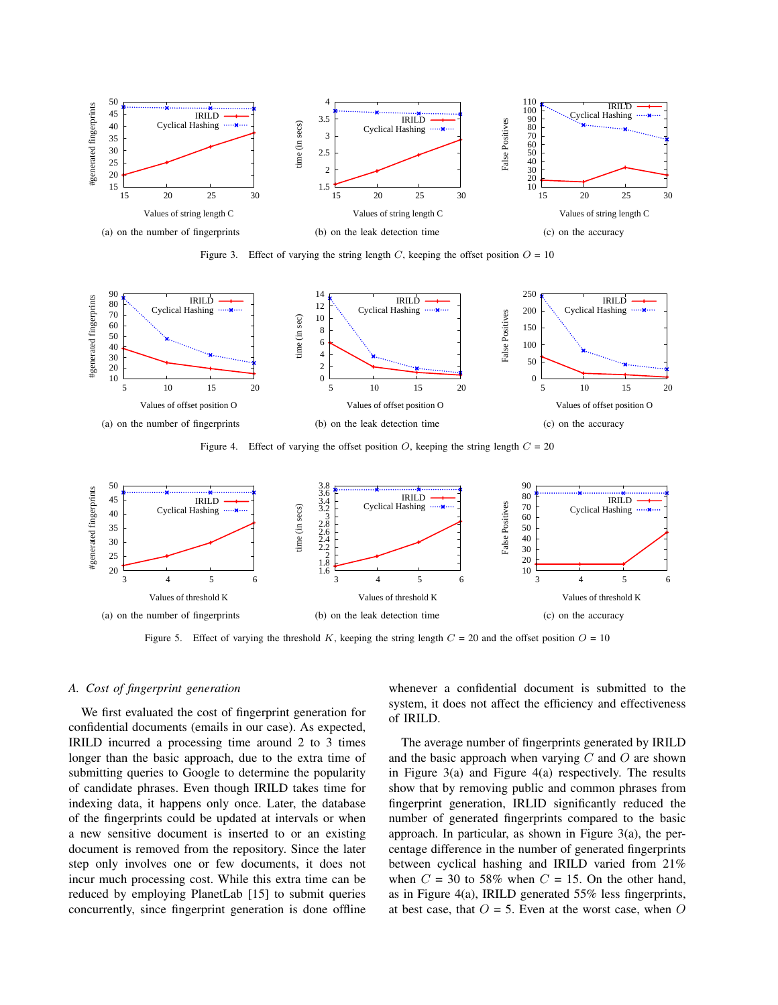

Figure 3. Effect of varying the string length C, keeping the offset position  $Q = 10$ 



Figure 4. Effect of varying the offset position O, keeping the string length  $C = 20$ 



Figure 5. Effect of varying the threshold K, keeping the string length  $C = 20$  and the offset position  $O = 10$ 

# *A. Cost of fingerprint generation*

We first evaluated the cost of fingerprint generation for confidential documents (emails in our case). As expected, IRILD incurred a processing time around 2 to 3 times longer than the basic approach, due to the extra time of submitting queries to Google to determine the popularity of candidate phrases. Even though IRILD takes time for indexing data, it happens only once. Later, the database of the fingerprints could be updated at intervals or when a new sensitive document is inserted to or an existing document is removed from the repository. Since the later step only involves one or few documents, it does not incur much processing cost. While this extra time can be reduced by employing PlanetLab [15] to submit queries concurrently, since fingerprint generation is done offline

whenever a confidential document is submitted to the system, it does not affect the efficiency and effectiveness of IRILD.

The average number of fingerprints generated by IRILD and the basic approach when varying  $C$  and  $O$  are shown in Figure 3(a) and Figure 4(a) respectively. The results show that by removing public and common phrases from fingerprint generation, IRLID significantly reduced the number of generated fingerprints compared to the basic approach. In particular, as shown in Figure 3(a), the percentage difference in the number of generated fingerprints between cyclical hashing and IRILD varied from 21% when  $C = 30$  to 58% when  $C = 15$ . On the other hand, as in Figure 4(a), IRILD generated 55% less fingerprints, at best case, that  $O = 5$ . Even at the worst case, when O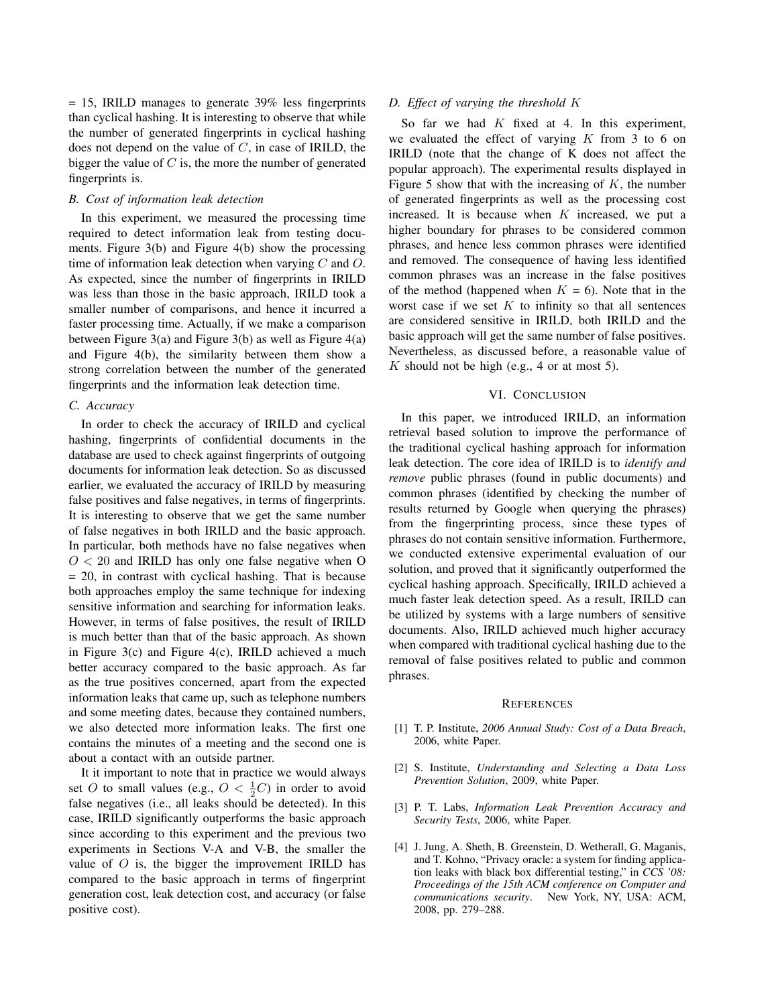= 15, IRILD manages to generate 39% less fingerprints than cyclical hashing. It is interesting to observe that while the number of generated fingerprints in cyclical hashing does not depend on the value of  $C$ , in case of IRILD, the bigger the value of  $C$  is, the more the number of generated fingerprints is.

### *B. Cost of information leak detection*

In this experiment, we measured the processing time required to detect information leak from testing documents. Figure 3(b) and Figure 4(b) show the processing time of information leak detection when varying  $C$  and  $O$ . As expected, since the number of fingerprints in IRILD was less than those in the basic approach, IRILD took a smaller number of comparisons, and hence it incurred a faster processing time. Actually, if we make a comparison between Figure 3(a) and Figure 3(b) as well as Figure 4(a) and Figure 4(b), the similarity between them show a strong correlation between the number of the generated fingerprints and the information leak detection time.

### *C. Accuracy*

In order to check the accuracy of IRILD and cyclical hashing, fingerprints of confidential documents in the database are used to check against fingerprints of outgoing documents for information leak detection. So as discussed earlier, we evaluated the accuracy of IRILD by measuring false positives and false negatives, in terms of fingerprints. It is interesting to observe that we get the same number of false negatives in both IRILD and the basic approach. In particular, both methods have no false negatives when  $O < 20$  and IRILD has only one false negative when O = 20, in contrast with cyclical hashing. That is because both approaches employ the same technique for indexing sensitive information and searching for information leaks. However, in terms of false positives, the result of IRILD is much better than that of the basic approach. As shown in Figure 3(c) and Figure 4(c), IRILD achieved a much better accuracy compared to the basic approach. As far as the true positives concerned, apart from the expected information leaks that came up, such as telephone numbers and some meeting dates, because they contained numbers, we also detected more information leaks. The first one contains the minutes of a meeting and the second one is about a contact with an outside partner.

It it important to note that in practice we would always set O to small values (e.g.,  $O < \frac{1}{2}C$ ) in order to avoid false negatives (i.e., all leaks should be detected). In this case, IRILD significantly outperforms the basic approach since according to this experiment and the previous two experiments in Sections V-A and V-B, the smaller the value of  $O$  is, the bigger the improvement IRILD has compared to the basic approach in terms of fingerprint generation cost, leak detection cost, and accuracy (or false positive cost).

# *D. Effect of varying the threshold* K

So far we had  $K$  fixed at 4. In this experiment, we evaluated the effect of varying  $K$  from 3 to 6 on IRILD (note that the change of K does not affect the popular approach). The experimental results displayed in Figure 5 show that with the increasing of  $K$ , the number of generated fingerprints as well as the processing cost increased. It is because when  $K$  increased, we put a higher boundary for phrases to be considered common phrases, and hence less common phrases were identified and removed. The consequence of having less identified common phrases was an increase in the false positives of the method (happened when  $K = 6$ ). Note that in the worst case if we set  $K$  to infinity so that all sentences are considered sensitive in IRILD, both IRILD and the basic approach will get the same number of false positives. Nevertheless, as discussed before, a reasonable value of  $K$  should not be high (e.g., 4 or at most 5).

### VI. CONCLUSION

In this paper, we introduced IRILD, an information retrieval based solution to improve the performance of the traditional cyclical hashing approach for information leak detection. The core idea of IRILD is to *identify and remove* public phrases (found in public documents) and common phrases (identified by checking the number of results returned by Google when querying the phrases) from the fingerprinting process, since these types of phrases do not contain sensitive information. Furthermore, we conducted extensive experimental evaluation of our solution, and proved that it significantly outperformed the cyclical hashing approach. Specifically, IRILD achieved a much faster leak detection speed. As a result, IRILD can be utilized by systems with a large numbers of sensitive documents. Also, IRILD achieved much higher accuracy when compared with traditional cyclical hashing due to the removal of false positives related to public and common phrases.

#### **REFERENCES**

- [1] T. P. Institute, *2006 Annual Study: Cost of a Data Breach*, 2006, white Paper.
- [2] S. Institute, *Understanding and Selecting a Data Loss Prevention Solution*, 2009, white Paper.
- [3] P. T. Labs, *Information Leak Prevention Accuracy and Security Tests*, 2006, white Paper.
- [4] J. Jung, A. Sheth, B. Greenstein, D. Wetherall, G. Maganis, and T. Kohno, "Privacy oracle: a system for finding application leaks with black box differential testing," in *CCS '08: Proceedings of the 15th ACM conference on Computer and communications security*. New York, NY, USA: ACM, 2008, pp. 279–288.